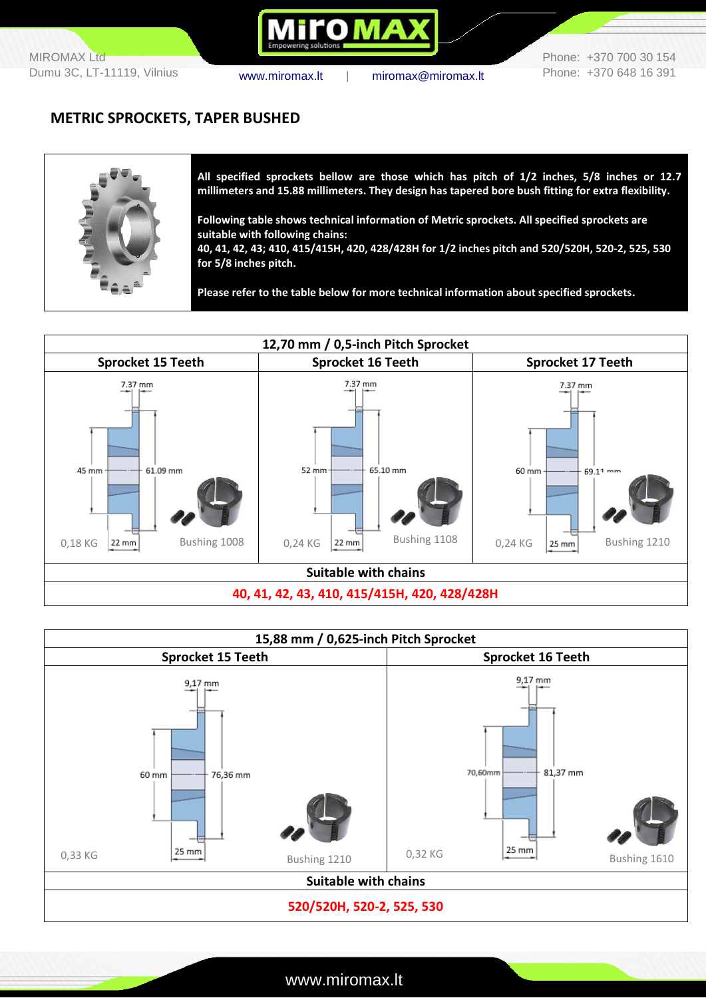**OMA** 

Phone: +370 700 30 154 Phone: +370 648 16 391

#### **METRIC SPROCKETS, TAPER BUSHED**



**All specified sprockets bellow are those which has pitch of 1/2 inches, 5/8 inches or 12.7 millimeters and 15.88 millimeters. They design has tapered bore bush fitting for extra flexibility.**

**Following table shows technical information of Metric sprockets. All specified sprockets are suitable with following chains:** 

**40, 41, 42, 43; 410, 415/415H, 420, 428/428H for 1/2 inches pitch and 520/520H, 520-2, 525, 530 for 5/8 inches pitch.**

**Please refer to the table below for more technical information about specified sprockets.**





www.miromax.lt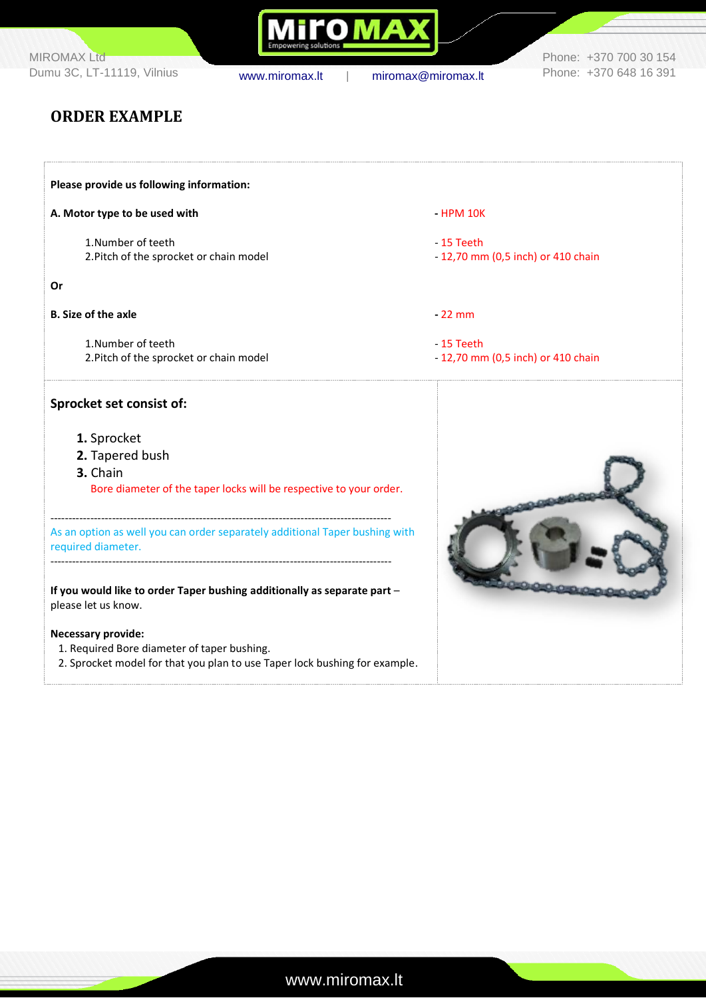MIROMAX Ltd Dumu 3C, LT-11119, Vilnius [www.miromax.lt](http://www.miromax.lt/) | [miromax@miromax.lt](mailto:miromax@miromax.lt)

Mi**ro MAX** 

Phone: +370 700 30 154 Phone: +370 648 16 391

## **ORDER EXAMPLE**

| Please provide us following information:                                    |                                    |
|-----------------------------------------------------------------------------|------------------------------------|
| A. Motor type to be used with                                               | $-HPM 10K$                         |
| 1.Number of teeth                                                           | - 15 Teeth                         |
| 2. Pitch of the sprocket or chain model                                     | - 12,70 mm (0,5 inch) or 410 chain |
| <b>Or</b>                                                                   |                                    |
| <b>B. Size of the axle</b>                                                  | $-22$ mm                           |
| 1. Number of teeth                                                          | $-15$ Teeth                        |
| 2. Pitch of the sprocket or chain model                                     | - 12,70 mm (0,5 inch) or 410 chain |
| Sprocket set consist of:                                                    |                                    |
| 1. Sprocket                                                                 |                                    |
| 2. Tapered bush                                                             |                                    |
| 3. Chain                                                                    |                                    |
| Bore diameter of the taper locks will be respective to your order.          |                                    |
| As an option as well you can order separately additional Taper bushing with |                                    |
| required diameter.                                                          |                                    |
| If you would like to order Taper bushing additionally as separate part -    |                                    |
| please let us know.                                                         |                                    |
| <b>Necessary provide:</b>                                                   |                                    |
| 1. Required Bore diameter of taper bushing.                                 |                                    |
| 2. Sprocket model for that you plan to use Taper lock bushing for example.  |                                    |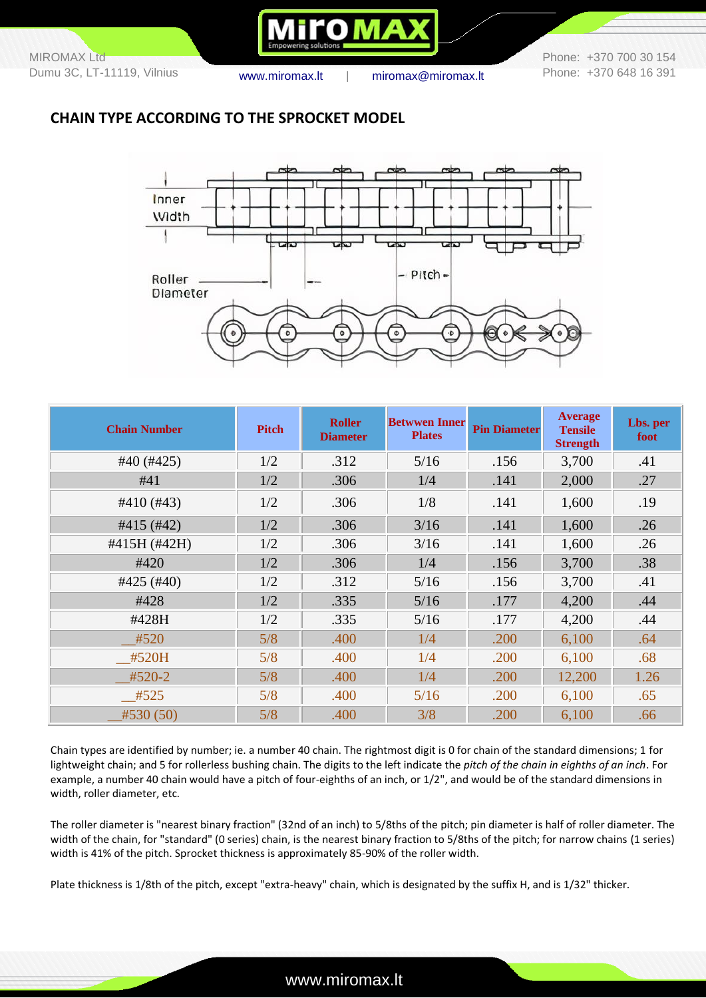

Phone: +370 700 30 154 Phone: +370 648 16 391

### **CHAIN TYPE ACCORDING TO THE SPROCKET MODEL**



| <b>Chain Number</b>  | <b>Pitch</b> | <b>Roller</b><br><b>Diameter</b> | <b>Betwwen Inner</b><br><b>Plates</b> | <b>Pin Diameter</b> | <b>Average</b><br><b>Tensile</b><br><b>Strength</b> | Lbs. per<br>foot |
|----------------------|--------------|----------------------------------|---------------------------------------|---------------------|-----------------------------------------------------|------------------|
| $#40$ (#425)         | 1/2          | .312                             | 5/16                                  | .156                | 3,700                                               | .41              |
| #41                  | 1/2          | .306                             | 1/4                                   | .141                | 2,000                                               | .27              |
| $#410$ (#43)         | 1/2          | .306                             | 1/8                                   | .141                | 1,600                                               | .19              |
| $#415$ (#42)         | 1/2          | .306                             | 3/16                                  | .141                | 1,600                                               | .26              |
| #415H (#42H)         | 1/2          | .306                             | 3/16                                  | .141                | 1,600                                               | .26              |
| #420                 | 1/2          | .306                             | 1/4                                   | .156                | 3,700                                               | .38              |
| #425 $(\text{\#}40)$ | 1/2          | .312                             | 5/16                                  | .156                | 3,700                                               | .41              |
| #428                 | 1/2          | .335                             | 5/16                                  | .177                | 4,200                                               | .44              |
| #428H                | 1/2          | .335                             | 5/16                                  | .177                | 4,200                                               | .44              |
| #520                 | 5/8          | .400                             | 1/4                                   | .200                | 6,100                                               | .64              |
| #520H                | 5/8          | .400                             | 1/4                                   | .200                | 6,100                                               | .68              |
| #520-2               | 5/8          | .400                             | 1/4                                   | .200                | 12,200                                              | 1.26             |
| #525                 | 5/8          | .400                             | 5/16                                  | .200                | 6,100                                               | .65              |
| #530(50)             | 5/8          | .400                             | 3/8                                   | .200                | 6,100                                               | .66              |

Chain types are identified by number; ie. a number 40 chain. The rightmost digit is 0 for chain of the standard dimensions; 1 for lightweight chain; and 5 for rollerless bushing chain. The digits to the left indicate the *pitch of the chain in eighths of an inch*. For example, a number 40 chain would have a pitch of four-eighths of an inch, or 1/2", and would be of the standard dimensions in width, roller diameter, etc.

The roller diameter is "nearest binary fraction" (32nd of an inch) to 5/8ths of the pitch; pin diameter is half of roller diameter. The width of the chain, for "standard" (0 series) chain, is the nearest binary fraction to 5/8ths of the pitch; for narrow chains (1 series) width is 41% of the pitch. Sprocket thickness is approximately 85-90% of the roller width.

Plate thickness is 1/8th of the pitch, except "extra-heavy" chain, which is designated by the suffix H, and is 1/32" thicker.

### www.miromax.lt